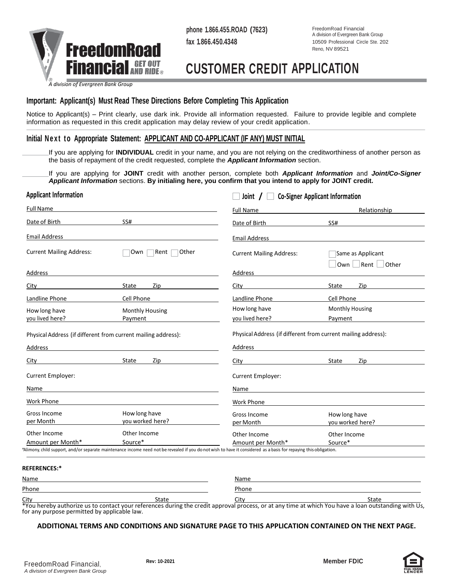

**phone 1.866.455.ROAD (7623) fax 1.866.450.4348**

FreedomRoad Financial A division of Evergreen Bank Group 10509 Professional Circle Ste. 202 Reno, NV 89521

## **CUSTOMER CREDIT APPLICATION**

*A division of Evergreen Bank Group*

## **Important: Applicant(s) Must Read These Directions Before Completing This Application**

Notice to Applicant(s) – Print clearly, use dark ink. Provide all information requested. Failure to provide legible and complete information as requested in this credit application may delay review of your credit application.

### **Initial Next to Appropriate Statement: APPLICANT AND CO-APPLICANT (IF ANY) MUST INITIAL**

If you are applying for **INDIVIDUAL** credit in your name, and you are not relying on the creditworthiness of another person as the basis of repayment of the credit requested, complete the *Applicant Information* section.

If you are applying for **JOINT** credit with another person, complete both *Applicant Information* and *Joint/Co-Signer Applicant Information* sections. **By initialing here, you confirm that you intend to apply for JOINT credit.**

|                                                                   |                                                               | <b>Co-Signer Applicant Information</b><br>Joint $\left  \right $                                                                                                                                                               |                                               |  |
|-------------------------------------------------------------------|---------------------------------------------------------------|--------------------------------------------------------------------------------------------------------------------------------------------------------------------------------------------------------------------------------|-----------------------------------------------|--|
| <b>Full Name</b>                                                  |                                                               | Full Name                                                                                                                                                                                                                      | Relationship                                  |  |
| Date of Birth                                                     | SS#                                                           | Date of Birth                                                                                                                                                                                                                  | SS#                                           |  |
| <b>Email Address</b>                                              |                                                               | Email Address                                                                                                                                                                                                                  |                                               |  |
| <b>Current Mailing Address:</b>                                   | Other<br>Own<br>Rent                                          | <b>Current Mailing Address:</b>                                                                                                                                                                                                | Same as Applicant<br>$Own$ Rent $\vert$ Other |  |
| Address                                                           |                                                               | Address                                                                                                                                                                                                                        |                                               |  |
| City                                                              | State<br>Zip                                                  | City                                                                                                                                                                                                                           | State<br>Zip                                  |  |
| Landline Phone                                                    | Cell Phone                                                    | Landline Phone                                                                                                                                                                                                                 | Cell Phone                                    |  |
| How long have<br>you lived here?                                  | Monthly Housing<br>Payment                                    | How long have<br>you lived here?                                                                                                                                                                                               | <b>Monthly Housing</b><br>Payment             |  |
|                                                                   | Physical Address (if different from current mailing address): | Physical Address (if different from current mailing address):                                                                                                                                                                  |                                               |  |
|                                                                   |                                                               |                                                                                                                                                                                                                                |                                               |  |
|                                                                   |                                                               | Address                                                                                                                                                                                                                        |                                               |  |
|                                                                   | State<br>Zip                                                  | City the contract of the contract of the contract of the contract of the contract of the contract of the contract of the contract of the contract of the contract of the contract of the contract of the contract of the contr | State<br>Zip                                  |  |
|                                                                   |                                                               | <b>Current Employer:</b>                                                                                                                                                                                                       |                                               |  |
|                                                                   |                                                               | Name                                                                                                                                                                                                                           |                                               |  |
| Address<br>City<br>Current Employer:<br>Name<br><b>Work Phone</b> |                                                               | Work Phone                                                                                                                                                                                                                     |                                               |  |
| Gross Income<br>per Month                                         | How long have<br>you worked here?                             | Gross Income<br>per Month                                                                                                                                                                                                      | How long have<br>you worked here?             |  |

| Name  |       | Name  |                                                                                                                                                   |
|-------|-------|-------|---------------------------------------------------------------------------------------------------------------------------------------------------|
| Phone |       | Phone |                                                                                                                                                   |
| City  | State | ^it∿  | State                                                                                                                                             |
|       |       |       | *Vau haraby authariza us to contact vaur references during the eradit approval process are t aputime at which Vau have a loop outstanding with Us |

You hereby authorize us to contact your references during the credit approval process, or at any time at which You have a loan outstanding with Us, for any purpose permitted by applicable law.

#### **ADDITIONAL TERMS AND CONDITIONS AND SIGNATURE PAGE TO THIS APPLICATION CONTAINED ON THE NEXT PAGE.**